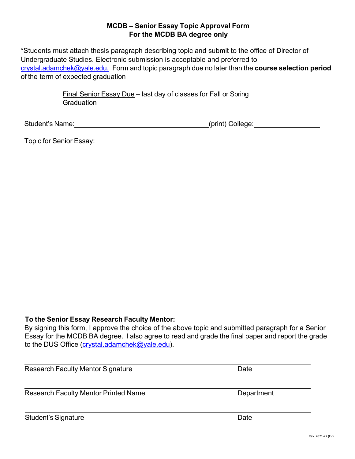## **MCDB – Senior Essay Topic Approval Form For the MCDB BA degree only**

\*Students must attach thesis paragraph describing topic and submit to the office of Director of Undergraduate Studies. Electronic submission is acceptable and preferred to [crystal.adamchek@yale.edu.](mailto:crystal.adamchek@yale.edu) Form and topic paragraph due no later than the **course selection period** of the term of expected graduation

> Final Senior Essay Due – last day of classes for Fall or Spring **Graduation**

Student's Name: <u>contained and the contained and collective (print</u>) College:

Topic for Senior Essay:

# **To the Senior Essay Research Faculty Mentor:**

By signing this form, I approve the choice of the above topic and submitted paragraph for a Senior Essay for the MCDB BA degree. I also agree to read and grade the final paper and report the grade to the DUS Office [\(crystal.adamchek@yale.edu\)](mailto:crystal.adamchek@yale.edu).

| <b>Research Faculty Mentor Signature</b>    | Date       |
|---------------------------------------------|------------|
| <b>Research Faculty Mentor Printed Name</b> | Department |
| <b>Student's Signature</b>                  | Date       |